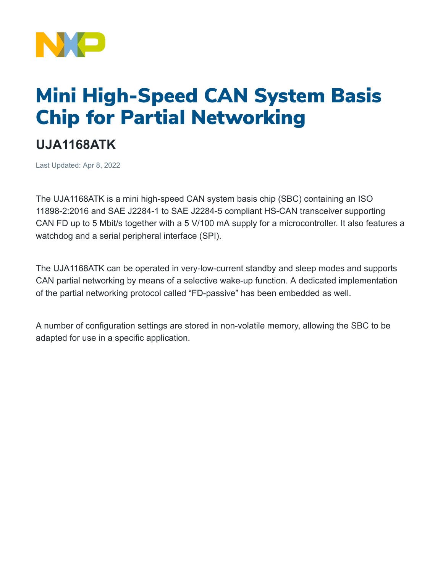

## Mini High-Speed CAN System Basis Chip for Partial Networking

## **UJA1168ATK**

Last Updated: Apr 8, 2022

The UJA1168ATK is a mini high-speed CAN system basis chip (SBC) containing an ISO 11898-2:2016 and SAE J2284-1 to SAE J2284-5 compliant HS-CAN transceiver supporting CAN FD up to 5 Mbit/s together with a 5 V/100 mA supply for a microcontroller. It also features a watchdog and a serial peripheral interface (SPI).

The UJA1168ATK can be operated in very-low-current standby and sleep modes and supports CAN partial networking by means of a selective wake-up function. A dedicated implementation of the partial networking protocol called "FD-passive" has been embedded as well.

A number of configuration settings are stored in non-volatile memory, allowing the SBC to be adapted for use in a specific application.